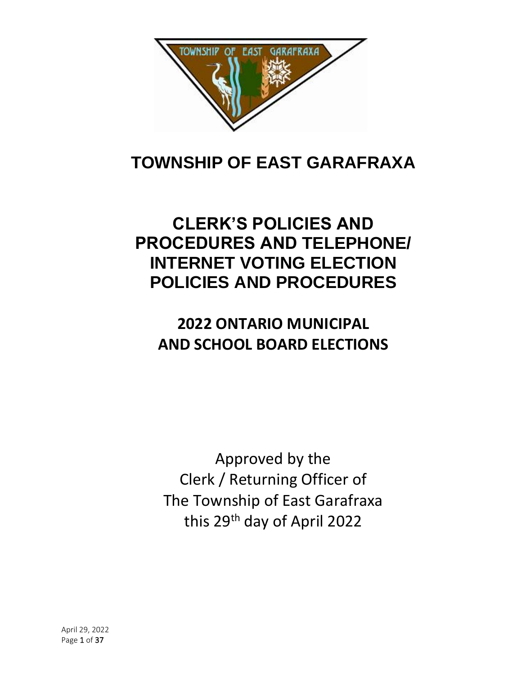

# **TOWNSHIP OF EAST GARAFRAXA**

# **CLERK'S POLICIES AND PROCEDURES AND TELEPHONE/ INTERNET VOTING ELECTION POLICIES AND PROCEDURES**

# **2022 ONTARIO MUNICIPAL AND SCHOOL BOARD ELECTIONS**

Approved by the Clerk / Returning Officer of The Township of East Garafraxa this 29th day of April 2022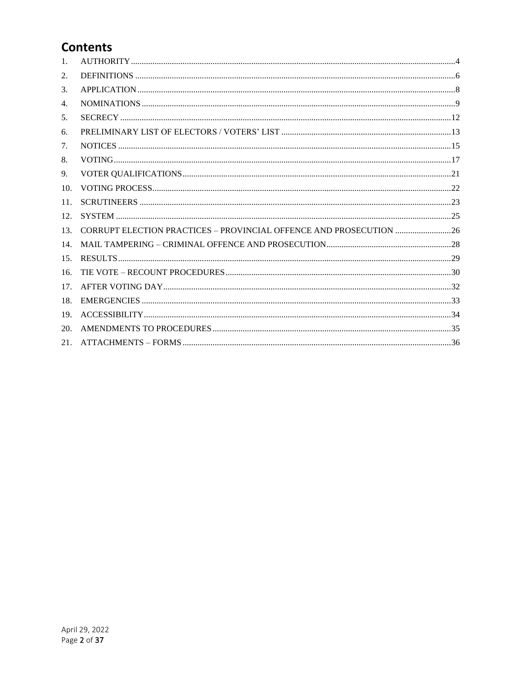# **Contents**

| 1.              |                                                                    |  |
|-----------------|--------------------------------------------------------------------|--|
| 2.              |                                                                    |  |
| 3.              |                                                                    |  |
| 4.              |                                                                    |  |
| 5.              |                                                                    |  |
| 6.              |                                                                    |  |
| 7.              |                                                                    |  |
| 8.              |                                                                    |  |
| 9.              |                                                                    |  |
| 10 <sub>1</sub> |                                                                    |  |
| 11.             |                                                                    |  |
| 12.             |                                                                    |  |
| 13.             | CORRUPT ELECTION PRACTICES - PROVINCIAL OFFENCE AND PROSECUTION 26 |  |
| 14.             |                                                                    |  |
| 15.             |                                                                    |  |
| 16.             |                                                                    |  |
| 17.             |                                                                    |  |
| 18.             |                                                                    |  |
| 19.             |                                                                    |  |
| 20.             |                                                                    |  |
| 21.             |                                                                    |  |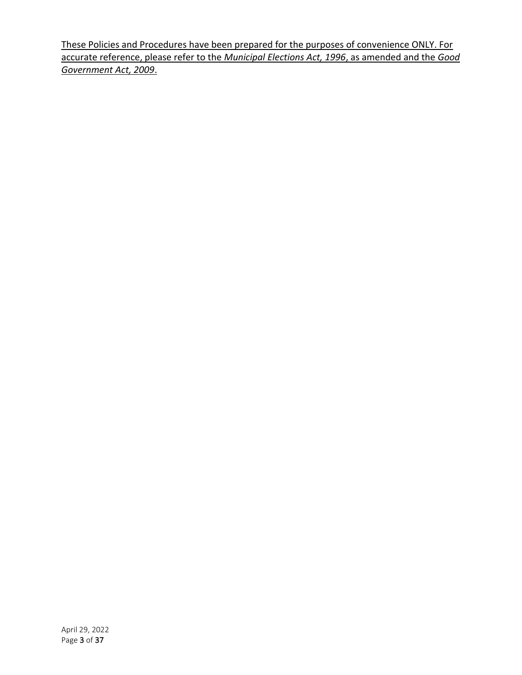These Policies and Procedures have been prepared for the purposes of convenience ONLY. For accurate reference, please refer to the *Municipal Elections Act, 1996*, as amended and the *Good Government Act, 2009*.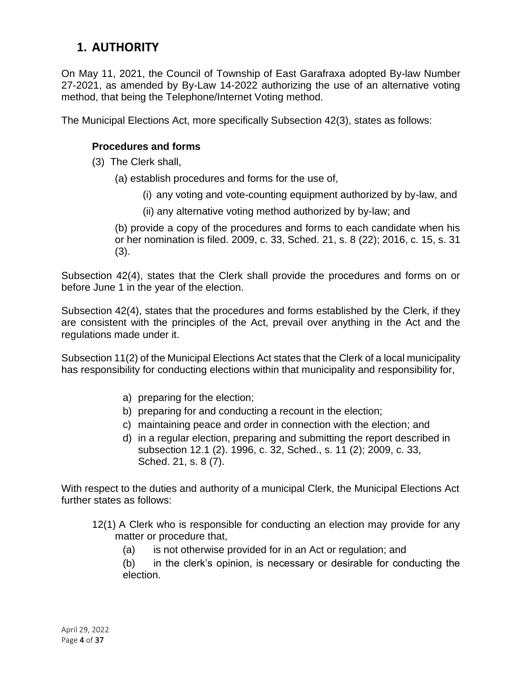# <span id="page-3-0"></span>**1. AUTHORITY**

On May 11, 2021, the Council of Township of East Garafraxa adopted By-law Number 27-2021, as amended by By-Law 14-2022 authorizing the use of an alternative voting method, that being the Telephone/Internet Voting method.

The Municipal Elections Act, more specifically Subsection 42(3), states as follows:

#### **Procedures and forms**

- (3) The Clerk shall,
	- (a) establish procedures and forms for the use of,
		- (i) any voting and vote-counting equipment authorized by by-law, and
		- (ii) any alternative voting method authorized by by-law; and

(b) provide a copy of the procedures and forms to each candidate when his or her nomination is filed. 2009, c. 33, Sched. 21, s. 8 (22); 2016, c. 15, s. 31 (3).

Subsection 42(4), states that the Clerk shall provide the procedures and forms on or before June 1 in the year of the election.

Subsection 42(4), states that the procedures and forms established by the Clerk, if they are consistent with the principles of the Act, prevail over anything in the Act and the regulations made under it.

Subsection 11(2) of the Municipal Elections Act states that the Clerk of a local municipality has responsibility for conducting elections within that municipality and responsibility for,

- a) preparing for the election;
- b) preparing for and conducting a recount in the election;
- c) maintaining peace and order in connection with the election; and
- d) in a regular election, preparing and submitting the report described in subsection 12.1 (2). 1996, c. 32, Sched., s. 11 (2); 2009, c. 33, Sched. 21, s. 8 (7).

With respect to the duties and authority of a municipal Clerk, the Municipal Elections Act further states as follows:

- 12(1) A Clerk who is responsible for conducting an election may provide for any matter or procedure that,
	- (a) is not otherwise provided for in an Act or regulation; and

(b) in the clerk's opinion, is necessary or desirable for conducting the election.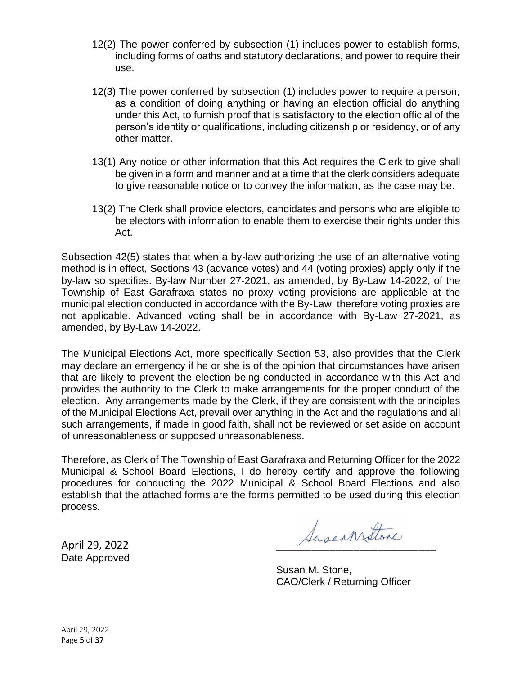- 12(2) The power conferred by subsection (1) includes power to establish forms, including forms of oaths and statutory declarations, and power to require their use.
- 12(3) The power conferred by subsection (1) includes power to require a person, as a condition of doing anything or having an election official do anything under this Act, to furnish proof that is satisfactory to the election official of the person's identity or qualifications, including citizenship or residency, or of any other matter.
- 13(1) Any notice or other information that this Act requires the Clerk to give shall be given in a form and manner and at a time that the clerk considers adequate to give reasonable notice or to convey the information, as the case may be.
- 13(2) The Clerk shall provide electors, candidates and persons who are eligible to be electors with information to enable them to exercise their rights under this Act.

Subsection 42(5) states that when a by-law authorizing the use of an alternative voting method is in effect, Sections 43 (advance votes) and 44 (voting proxies) apply only if the by-law so specifies. By-law Number 27-2021, as amended, by By-Law 14-2022, of the Township of East Garafraxa states no proxy voting provisions are applicable at the municipal election conducted in accordance with the By-Law, therefore voting proxies are not applicable. Advanced voting shall be in accordance with By-Law 27-2021, as amended, by By-Law 14-2022.

The Municipal Elections Act, more specifically Section 53, also provides that the Clerk may declare an emergency if he or she is of the opinion that circumstances have arisen that are likely to prevent the election being conducted in accordance with this Act and provides the authority to the Clerk to make arrangements for the proper conduct of the election. Any arrangements made by the Clerk, if they are consistent with the principles of the Municipal Elections Act, prevail over anything in the Act and the regulations and all such arrangements, if made in good faith, shall not be reviewed or set aside on account of unreasonableness or supposed unreasonableness.

Therefore, as Clerk of The Township of East Garafraxa and Returning Officer for the 2022 Municipal & School Board Elections, I do hereby certify and approve the following procedures for conducting the 2022 Municipal & School Board Elections and also establish that the attached forms are the forms permitted to be used during this election process.

Date Approved

April 29, 2022

Susan M. Stone, CAO/Clerk / Returning Officer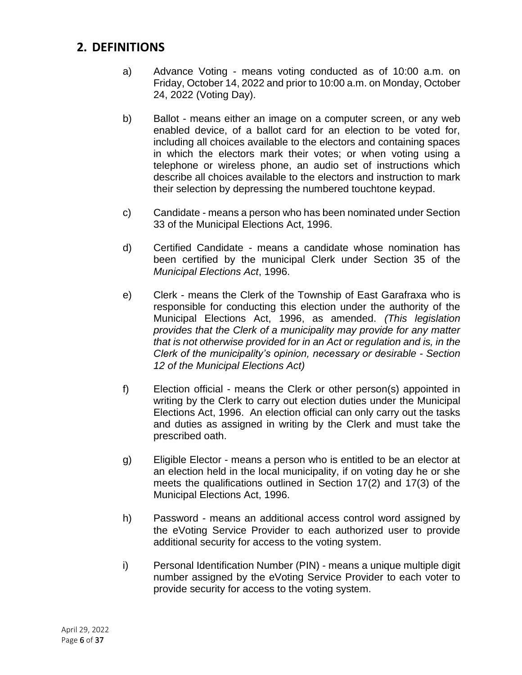#### <span id="page-5-0"></span>**2. DEFINITIONS**

- a) Advance Voting means voting conducted as of 10:00 a.m. on Friday, October 14, 2022 and prior to 10:00 a.m. on Monday, October 24, 2022 (Voting Day).
- b) Ballot means either an image on a computer screen, or any web enabled device, of a ballot card for an election to be voted for, including all choices available to the electors and containing spaces in which the electors mark their votes; or when voting using a telephone or wireless phone, an audio set of instructions which describe all choices available to the electors and instruction to mark their selection by depressing the numbered touchtone keypad.
- c) Candidate means a person who has been nominated under Section 33 of the Municipal Elections Act, 1996.
- d) Certified Candidate means a candidate whose nomination has been certified by the municipal Clerk under Section 35 of the *Municipal Elections Act*, 1996.
- e) Clerk means the Clerk of the Township of East Garafraxa who is responsible for conducting this election under the authority of the Municipal Elections Act, 1996, as amended. *(This legislation provides that the Clerk of a municipality may provide for any matter that is not otherwise provided for in an Act or regulation and is, in the Clerk of the municipality's opinion, necessary or desirable - Section 12 of the Municipal Elections Act)*
- f) Election official means the Clerk or other person(s) appointed in writing by the Clerk to carry out election duties under the Municipal Elections Act, 1996. An election official can only carry out the tasks and duties as assigned in writing by the Clerk and must take the prescribed oath.
- g) Eligible Elector means a person who is entitled to be an elector at an election held in the local municipality, if on voting day he or she meets the qualifications outlined in Section 17(2) and 17(3) of the Municipal Elections Act, 1996.
- h) Password means an additional access control word assigned by the eVoting Service Provider to each authorized user to provide additional security for access to the voting system.
- i) Personal Identification Number (PIN) means a unique multiple digit number assigned by the eVoting Service Provider to each voter to provide security for access to the voting system.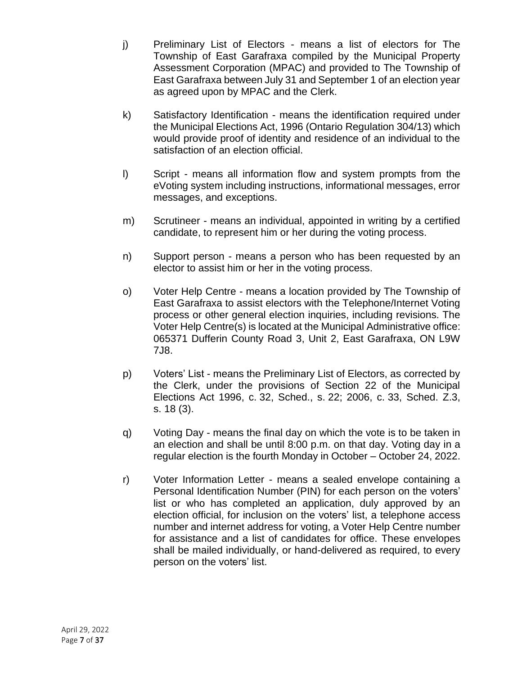- j) Preliminary List of Electors means a list of electors for The Township of East Garafraxa compiled by the Municipal Property Assessment Corporation (MPAC) and provided to The Township of East Garafraxa between July 31 and September 1 of an election year as agreed upon by MPAC and the Clerk.
- k) Satisfactory Identification means the identification required under the Municipal Elections Act, 1996 (Ontario Regulation 304/13) which would provide proof of identity and residence of an individual to the satisfaction of an election official.
- l) Script means all information flow and system prompts from the eVoting system including instructions, informational messages, error messages, and exceptions.
- m) Scrutineer means an individual, appointed in writing by a certified candidate, to represent him or her during the voting process.
- n) Support person means a person who has been requested by an elector to assist him or her in the voting process.
- o) Voter Help Centre means a location provided by The Township of East Garafraxa to assist electors with the Telephone/Internet Voting process or other general election inquiries, including revisions. The Voter Help Centre(s) is located at the Municipal Administrative office: 065371 Dufferin County Road 3, Unit 2, East Garafraxa, ON L9W 7J8.
- p) Voters' List means the Preliminary List of Electors, as corrected by the Clerk, under the provisions of Section 22 of the Municipal Elections Act 1996, c. 32, Sched., s. 22; 2006, c. 33, Sched. Z.3, s. 18 (3).
- q) Voting Day means the final day on which the vote is to be taken in an election and shall be until 8:00 p.m. on that day. Voting day in a regular election is the fourth Monday in October – October 24, 2022.
- r) Voter Information Letter means a sealed envelope containing a Personal Identification Number (PIN) for each person on the voters' list or who has completed an application, duly approved by an election official, for inclusion on the voters' list, a telephone access number and internet address for voting, a Voter Help Centre number for assistance and a list of candidates for office. These envelopes shall be mailed individually, or hand-delivered as required, to every person on the voters' list.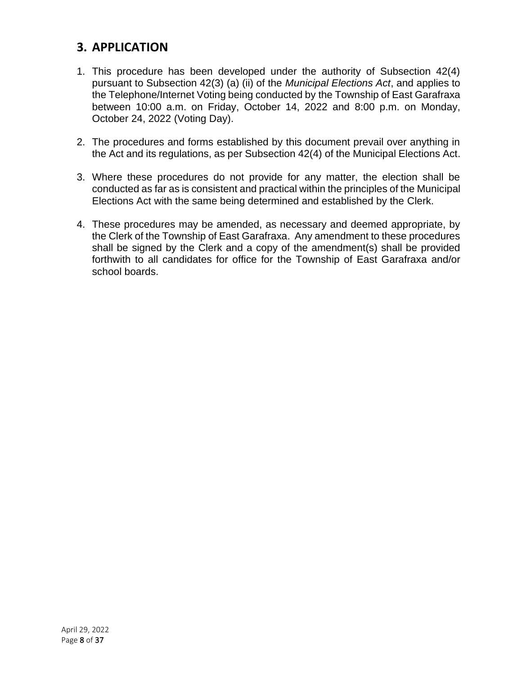# <span id="page-7-0"></span>**3. APPLICATION**

- 1. This procedure has been developed under the authority of Subsection 42(4) pursuant to Subsection 42(3) (a) (ii) of the *Municipal Elections Act*, and applies to the Telephone/Internet Voting being conducted by the Township of East Garafraxa between 10:00 a.m. on Friday, October 14, 2022 and 8:00 p.m. on Monday, October 24, 2022 (Voting Day).
- 2. The procedures and forms established by this document prevail over anything in the Act and its regulations, as per Subsection 42(4) of the Municipal Elections Act.
- 3. Where these procedures do not provide for any matter, the election shall be conducted as far as is consistent and practical within the principles of the Municipal Elections Act with the same being determined and established by the Clerk.
- 4. These procedures may be amended, as necessary and deemed appropriate, by the Clerk of the Township of East Garafraxa. Any amendment to these procedures shall be signed by the Clerk and a copy of the amendment(s) shall be provided forthwith to all candidates for office for the Township of East Garafraxa and/or school boards.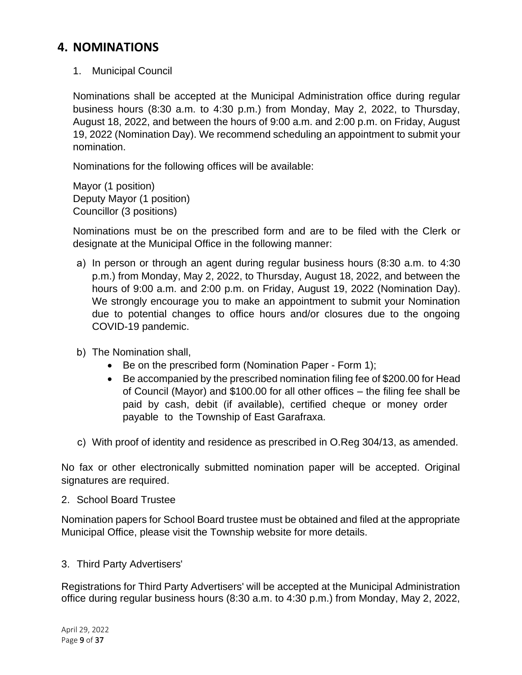### <span id="page-8-0"></span>**4. NOMINATIONS**

1. Municipal Council

Nominations shall be accepted at the Municipal Administration office during regular business hours (8:30 a.m. to 4:30 p.m.) from Monday, May 2, 2022, to Thursday, August 18, 2022, and between the hours of 9:00 a.m. and 2:00 p.m. on Friday, August 19, 2022 (Nomination Day). We recommend scheduling an appointment to submit your nomination.

Nominations for the following offices will be available:

Mayor (1 position) Deputy Mayor (1 position) Councillor (3 positions)

Nominations must be on the prescribed form and are to be filed with the Clerk or designate at the Municipal Office in the following manner:

- a) In person or through an agent during regular business hours (8:30 a.m. to 4:30 p.m.) from Monday, May 2, 2022, to Thursday, August 18, 2022, and between the hours of 9:00 a.m. and 2:00 p.m. on Friday, August 19, 2022 (Nomination Day). We strongly encourage you to make an appointment to submit your Nomination due to potential changes to office hours and/or closures due to the ongoing COVID-19 pandemic.
- b) The Nomination shall,
	- Be on the prescribed form (Nomination Paper Form 1);
	- Be accompanied by the prescribed nomination filing fee of \$200.00 for Head of Council (Mayor) and \$100.00 for all other offices – the filing fee shall be paid by cash, debit (if available), certified cheque or money order payable to the Township of East Garafraxa.
- c) With proof of identity and residence as prescribed in O.Reg 304/13, as amended.

No fax or other electronically submitted nomination paper will be accepted. Original signatures are required.

#### 2. School Board Trustee

Nomination papers for School Board trustee must be obtained and filed at the appropriate Municipal Office, please visit the Township website for more details.

#### 3. Third Party Advertisers'

Registrations for Third Party Advertisers' will be accepted at the Municipal Administration office during regular business hours (8:30 a.m. to 4:30 p.m.) from Monday, May 2, 2022,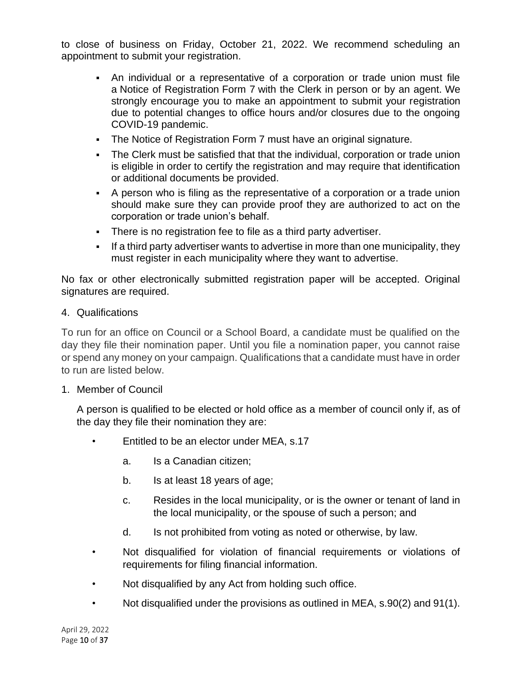to close of business on Friday, October 21, 2022. We recommend scheduling an appointment to submit your registration.

- An individual or a representative of a corporation or trade union must file a Notice of Registration Form 7 with the Clerk in person or by an agent. We strongly encourage you to make an appointment to submit your registration due to potential changes to office hours and/or closures due to the ongoing COVID-19 pandemic.
- **The Notice of Registration Form 7 must have an original signature.**
- The Clerk must be satisfied that that the individual, corporation or trade union is eligible in order to certify the registration and may require that identification or additional documents be provided.
- A person who is filing as the representative of a corporation or a trade union should make sure they can provide proof they are authorized to act on the corporation or trade union's behalf.
- There is no registration fee to file as a third party advertiser.
- If a third party advertiser wants to advertise in more than one municipality, they must register in each municipality where they want to advertise.

No fax or other electronically submitted registration paper will be accepted. Original signatures are required.

#### 4. Qualifications

To run for an office on Council or a School Board, a candidate must be qualified on the day they file their nomination paper. Until you file a nomination paper, you cannot raise or spend any money on your campaign. Qualifications that a candidate must have in order to run are listed below.

#### 1. Member of Council

A person is qualified to be elected or hold office as a member of council only if, as of the day they file their nomination they are:

- Entitled to be an elector under MEA, s.17
	- a. Is a Canadian citizen;
	- b. Is at least 18 years of age;
	- c. Resides in the local municipality, or is the owner or tenant of land in the local municipality, or the spouse of such a person; and
	- d. Is not prohibited from voting as noted or otherwise, by law.
- Not disqualified for violation of financial requirements or violations of requirements for filing financial information.
- Not disqualified by any Act from holding such office.
- Not disqualified under the provisions as outlined in MEA, s.90(2) and 91(1).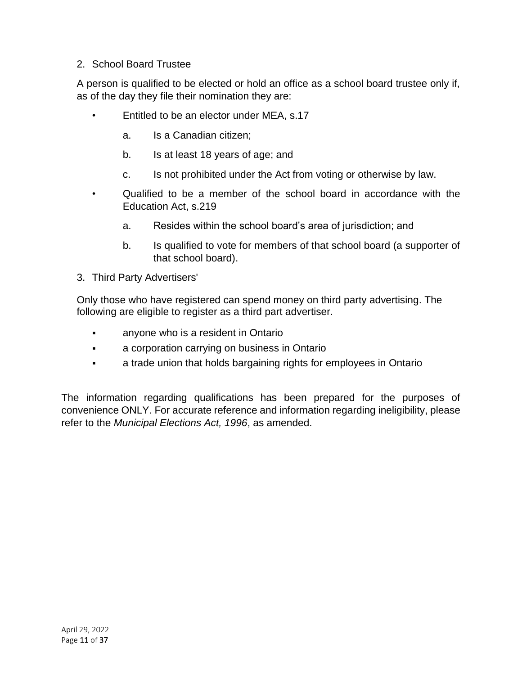#### 2. School Board Trustee

A person is qualified to be elected or hold an office as a school board trustee only if, as of the day they file their nomination they are:

- Entitled to be an elector under MEA, s.17
	- a. Is a Canadian citizen;
	- b. Is at least 18 years of age; and
	- c. Is not prohibited under the Act from voting or otherwise by law.
- Qualified to be a member of the school board in accordance with the Education Act, s.219
	- a. Resides within the school board's area of jurisdiction; and
	- b. Is qualified to vote for members of that school board (a supporter of that school board).
- 3. Third Party Advertisers'

Only those who have registered can spend money on third party advertising. The following are eligible to register as a third part advertiser.

- **•** anyone who is a resident in Ontario
- a corporation carrying on business in Ontario
- **•** a trade union that holds bargaining rights for employees in Ontario

The information regarding qualifications has been prepared for the purposes of convenience ONLY. For accurate reference and information regarding ineligibility, please refer to the *Municipal Elections Act, 1996*, as amended.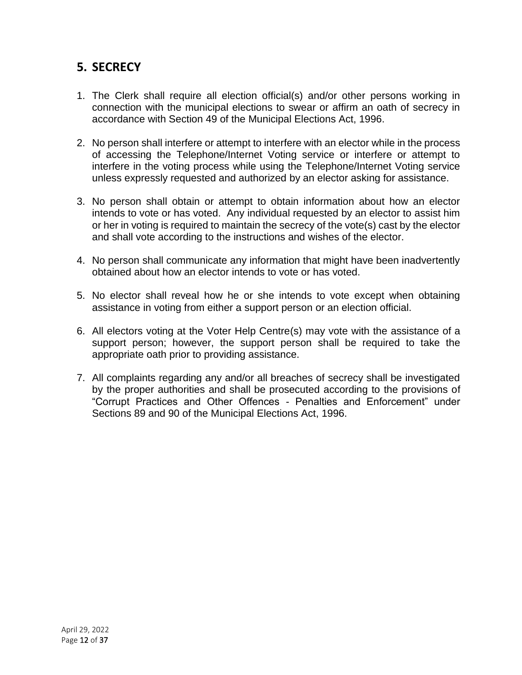# <span id="page-11-0"></span>**5. SECRECY**

- 1. The Clerk shall require all election official(s) and/or other persons working in connection with the municipal elections to swear or affirm an oath of secrecy in accordance with Section 49 of the Municipal Elections Act, 1996.
- 2. No person shall interfere or attempt to interfere with an elector while in the process of accessing the Telephone/Internet Voting service or interfere or attempt to interfere in the voting process while using the Telephone/Internet Voting service unless expressly requested and authorized by an elector asking for assistance.
- 3. No person shall obtain or attempt to obtain information about how an elector intends to vote or has voted. Any individual requested by an elector to assist him or her in voting is required to maintain the secrecy of the vote(s) cast by the elector and shall vote according to the instructions and wishes of the elector.
- 4. No person shall communicate any information that might have been inadvertently obtained about how an elector intends to vote or has voted.
- 5. No elector shall reveal how he or she intends to vote except when obtaining assistance in voting from either a support person or an election official.
- 6. All electors voting at the Voter Help Centre(s) may vote with the assistance of a support person; however, the support person shall be required to take the appropriate oath prior to providing assistance.
- 7. All complaints regarding any and/or all breaches of secrecy shall be investigated by the proper authorities and shall be prosecuted according to the provisions of "Corrupt Practices and Other Offences - Penalties and Enforcement" under Sections 89 and 90 of the Municipal Elections Act, 1996.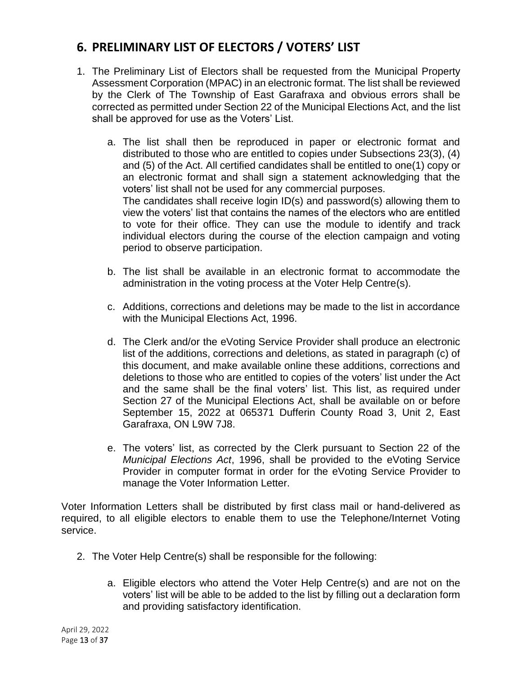# <span id="page-12-0"></span>**6. PRELIMINARY LIST OF ELECTORS / VOTERS' LIST**

- 1. The Preliminary List of Electors shall be requested from the Municipal Property Assessment Corporation (MPAC) in an electronic format. The list shall be reviewed by the Clerk of The Township of East Garafraxa and obvious errors shall be corrected as permitted under Section 22 of the Municipal Elections Act, and the list shall be approved for use as the Voters' List.
	- a. The list shall then be reproduced in paper or electronic format and distributed to those who are entitled to copies under Subsections 23(3), (4) and (5) of the Act. All certified candidates shall be entitled to one(1) copy or an electronic format and shall sign a statement acknowledging that the voters' list shall not be used for any commercial purposes. The candidates shall receive login ID(s) and password(s) allowing them to view the voters' list that contains the names of the electors who are entitled to vote for their office. They can use the module to identify and track individual electors during the course of the election campaign and voting period to observe participation.
	- b. The list shall be available in an electronic format to accommodate the administration in the voting process at the Voter Help Centre(s).
	- c. Additions, corrections and deletions may be made to the list in accordance with the Municipal Elections Act, 1996.
	- d. The Clerk and/or the eVoting Service Provider shall produce an electronic list of the additions, corrections and deletions, as stated in paragraph (c) of this document, and make available online these additions, corrections and deletions to those who are entitled to copies of the voters' list under the Act and the same shall be the final voters' list. This list, as required under Section 27 of the Municipal Elections Act, shall be available on or before September 15, 2022 at 065371 Dufferin County Road 3, Unit 2, East Garafraxa, ON L9W 7J8.
	- e. The voters' list, as corrected by the Clerk pursuant to Section 22 of the *Municipal Elections Act*, 1996, shall be provided to the eVoting Service Provider in computer format in order for the eVoting Service Provider to manage the Voter Information Letter.

Voter Information Letters shall be distributed by first class mail or hand-delivered as required, to all eligible electors to enable them to use the Telephone/Internet Voting service.

- 2. The Voter Help Centre(s) shall be responsible for the following:
	- a. Eligible electors who attend the Voter Help Centre(s) and are not on the voters' list will be able to be added to the list by filling out a declaration form and providing satisfactory identification.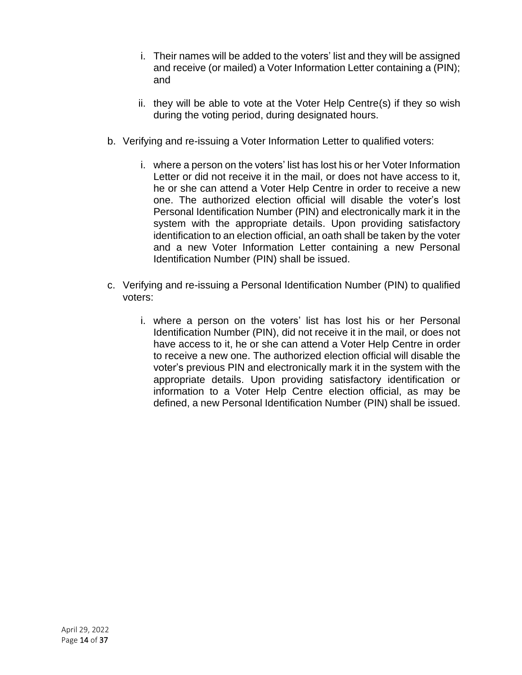- i. Their names will be added to the voters' list and they will be assigned and receive (or mailed) a Voter Information Letter containing a (PIN); and
- ii. they will be able to vote at the Voter Help Centre(s) if they so wish during the voting period, during designated hours.
- b. Verifying and re-issuing a Voter Information Letter to qualified voters:
	- i. where a person on the voters' list has lost his or her Voter Information Letter or did not receive it in the mail, or does not have access to it, he or she can attend a Voter Help Centre in order to receive a new one. The authorized election official will disable the voter's lost Personal Identification Number (PIN) and electronically mark it in the system with the appropriate details. Upon providing satisfactory identification to an election official, an oath shall be taken by the voter and a new Voter Information Letter containing a new Personal Identification Number (PIN) shall be issued.
- c. Verifying and re-issuing a Personal Identification Number (PIN) to qualified voters:
	- i. where a person on the voters' list has lost his or her Personal Identification Number (PIN), did not receive it in the mail, or does not have access to it, he or she can attend a Voter Help Centre in order to receive a new one. The authorized election official will disable the voter's previous PIN and electronically mark it in the system with the appropriate details. Upon providing satisfactory identification or information to a Voter Help Centre election official, as may be defined, a new Personal Identification Number (PIN) shall be issued.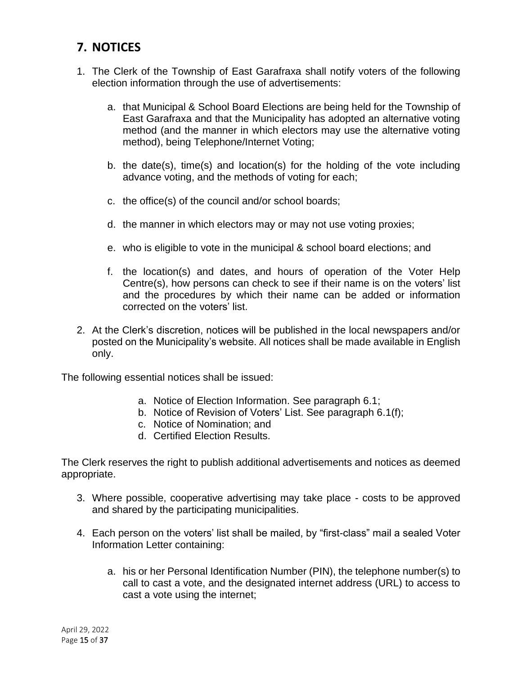# <span id="page-14-0"></span>**7. NOTICES**

- 1. The Clerk of the Township of East Garafraxa shall notify voters of the following election information through the use of advertisements:
	- a. that Municipal & School Board Elections are being held for the Township of East Garafraxa and that the Municipality has adopted an alternative voting method (and the manner in which electors may use the alternative voting method), being Telephone/Internet Voting;
	- b. the date(s), time(s) and location(s) for the holding of the vote including advance voting, and the methods of voting for each;
	- c. the office(s) of the council and/or school boards;
	- d. the manner in which electors may or may not use voting proxies;
	- e. who is eligible to vote in the municipal & school board elections; and
	- f. the location(s) and dates, and hours of operation of the Voter Help Centre(s), how persons can check to see if their name is on the voters' list and the procedures by which their name can be added or information corrected on the voters' list.
- 2. At the Clerk's discretion, notices will be published in the local newspapers and/or posted on the Municipality's website. All notices shall be made available in English only.

The following essential notices shall be issued:

- a. Notice of Election Information. See paragraph 6.1;
- b. Notice of Revision of Voters' List. See paragraph 6.1(f);
- c. Notice of Nomination; and
- d. Certified Election Results.

The Clerk reserves the right to publish additional advertisements and notices as deemed appropriate.

- 3. Where possible, cooperative advertising may take place costs to be approved and shared by the participating municipalities.
- 4. Each person on the voters' list shall be mailed, by "first-class" mail a sealed Voter Information Letter containing:
	- a. his or her Personal Identification Number (PIN), the telephone number(s) to call to cast a vote, and the designated internet address (URL) to access to cast a vote using the internet;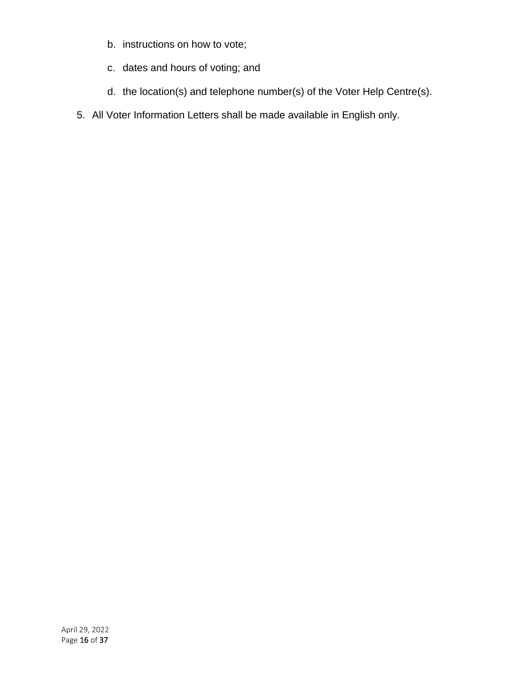- b. instructions on how to vote;
- c. dates and hours of voting; and
- d. the location(s) and telephone number(s) of the Voter Help Centre(s).
- 5. All Voter Information Letters shall be made available in English only.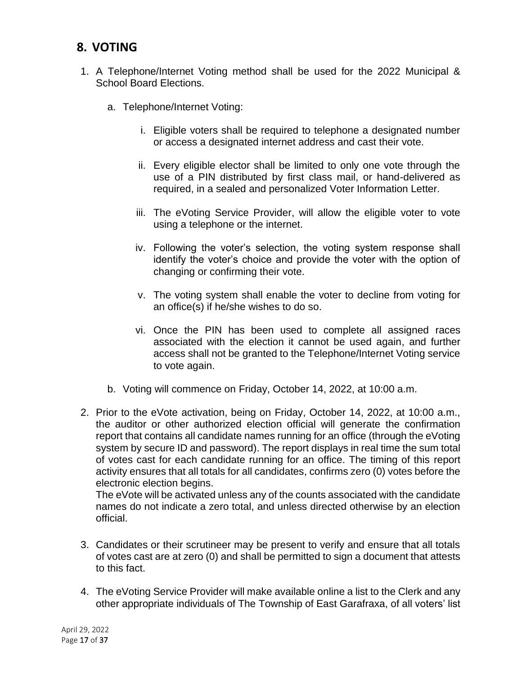## <span id="page-16-0"></span>**8. VOTING**

- 1. A Telephone/Internet Voting method shall be used for the 2022 Municipal & School Board Elections.
	- a. Telephone/Internet Voting:
		- i. Eligible voters shall be required to telephone a designated number or access a designated internet address and cast their vote.
		- ii. Every eligible elector shall be limited to only one vote through the use of a PIN distributed by first class mail, or hand-delivered as required, in a sealed and personalized Voter Information Letter.
		- iii. The eVoting Service Provider, will allow the eligible voter to vote using a telephone or the internet.
		- iv. Following the voter's selection, the voting system response shall identify the voter's choice and provide the voter with the option of changing or confirming their vote.
		- v. The voting system shall enable the voter to decline from voting for an office(s) if he/she wishes to do so.
		- vi. Once the PIN has been used to complete all assigned races associated with the election it cannot be used again, and further access shall not be granted to the Telephone/Internet Voting service to vote again.
	- b. Voting will commence on Friday, October 14, 2022, at 10:00 a.m.
- 2. Prior to the eVote activation, being on Friday, October 14, 2022, at 10:00 a.m., the auditor or other authorized election official will generate the confirmation report that contains all candidate names running for an office (through the eVoting system by secure ID and password). The report displays in real time the sum total of votes cast for each candidate running for an office. The timing of this report activity ensures that all totals for all candidates, confirms zero (0) votes before the electronic election begins.

The eVote will be activated unless any of the counts associated with the candidate names do not indicate a zero total, and unless directed otherwise by an election official.

- 3. Candidates or their scrutineer may be present to verify and ensure that all totals of votes cast are at zero (0) and shall be permitted to sign a document that attests to this fact.
- 4. The eVoting Service Provider will make available online a list to the Clerk and any other appropriate individuals of The Township of East Garafraxa, of all voters' list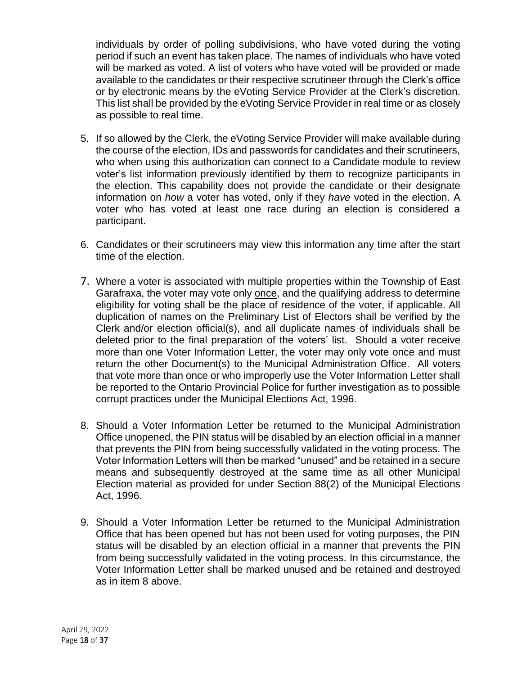individuals by order of polling subdivisions, who have voted during the voting period if such an event has taken place. The names of individuals who have voted will be marked as voted. A list of voters who have voted will be provided or made available to the candidates or their respective scrutineer through the Clerk's office or by electronic means by the eVoting Service Provider at the Clerk's discretion. This list shall be provided by the eVoting Service Provider in real time or as closely as possible to real time.

- 5. If so allowed by the Clerk, the eVoting Service Provider will make available during the course of the election, IDs and passwords for candidates and their scrutineers, who when using this authorization can connect to a Candidate module to review voter's list information previously identified by them to recognize participants in the election. This capability does not provide the candidate or their designate information on *how* a voter has voted, only if they *have* voted in the election. A voter who has voted at least one race during an election is considered a participant.
- 6. Candidates or their scrutineers may view this information any time after the start time of the election.
- 7. Where a voter is associated with multiple properties within the Township of East Garafraxa, the voter may vote only once, and the qualifying address to determine eligibility for voting shall be the place of residence of the voter, if applicable. All duplication of names on the Preliminary List of Electors shall be verified by the Clerk and/or election official(s), and all duplicate names of individuals shall be deleted prior to the final preparation of the voters' list. Should a voter receive more than one Voter Information Letter, the voter may only vote once and must return the other Document(s) to the Municipal Administration Office. All voters that vote more than once or who improperly use the Voter Information Letter shall be reported to the Ontario Provincial Police for further investigation as to possible corrupt practices under the Municipal Elections Act, 1996.
- 8. Should a Voter Information Letter be returned to the Municipal Administration Office unopened, the PIN status will be disabled by an election official in a manner that prevents the PIN from being successfully validated in the voting process. The Voter Information Letters will then be marked "unused" and be retained in a secure means and subsequently destroyed at the same time as all other Municipal Election material as provided for under Section 88(2) of the Municipal Elections Act, 1996.
- 9. Should a Voter Information Letter be returned to the Municipal Administration Office that has been opened but has not been used for voting purposes, the PIN status will be disabled by an election official in a manner that prevents the PIN from being successfully validated in the voting process. In this circumstance, the Voter Information Letter shall be marked unused and be retained and destroyed as in item 8 above.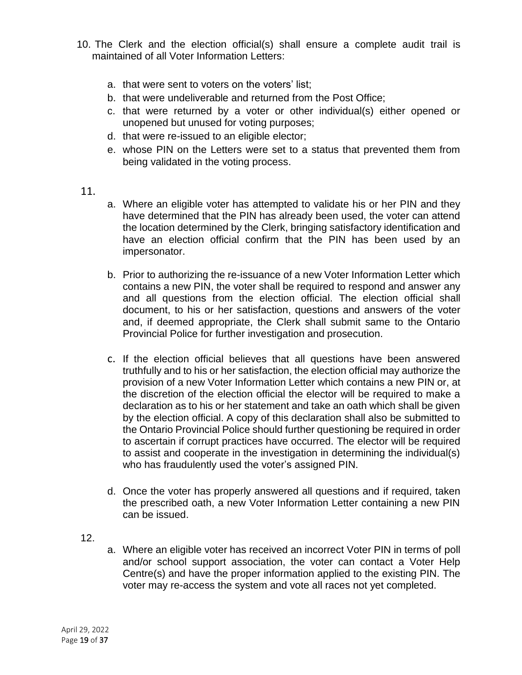- 10. The Clerk and the election official(s) shall ensure a complete audit trail is maintained of all Voter Information Letters:
	- a. that were sent to voters on the voters' list;
	- b. that were undeliverable and returned from the Post Office;
	- c. that were returned by a voter or other individual(s) either opened or unopened but unused for voting purposes;
	- d. that were re-issued to an eligible elector;
	- e. whose PIN on the Letters were set to a status that prevented them from being validated in the voting process.

#### 11.

- a. Where an eligible voter has attempted to validate his or her PIN and they have determined that the PIN has already been used, the voter can attend the location determined by the Clerk, bringing satisfactory identification and have an election official confirm that the PIN has been used by an impersonator.
- b. Prior to authorizing the re-issuance of a new Voter Information Letter which contains a new PIN, the voter shall be required to respond and answer any and all questions from the election official. The election official shall document, to his or her satisfaction, questions and answers of the voter and, if deemed appropriate, the Clerk shall submit same to the Ontario Provincial Police for further investigation and prosecution.
- c. If the election official believes that all questions have been answered truthfully and to his or her satisfaction, the election official may authorize the provision of a new Voter Information Letter which contains a new PIN or, at the discretion of the election official the elector will be required to make a declaration as to his or her statement and take an oath which shall be given by the election official. A copy of this declaration shall also be submitted to the Ontario Provincial Police should further questioning be required in order to ascertain if corrupt practices have occurred. The elector will be required to assist and cooperate in the investigation in determining the individual(s) who has fraudulently used the voter's assigned PIN.
- d. Once the voter has properly answered all questions and if required, taken the prescribed oath, a new Voter Information Letter containing a new PIN can be issued.
- 12.
- a. Where an eligible voter has received an incorrect Voter PIN in terms of poll and/or school support association, the voter can contact a Voter Help Centre(s) and have the proper information applied to the existing PIN. The voter may re-access the system and vote all races not yet completed.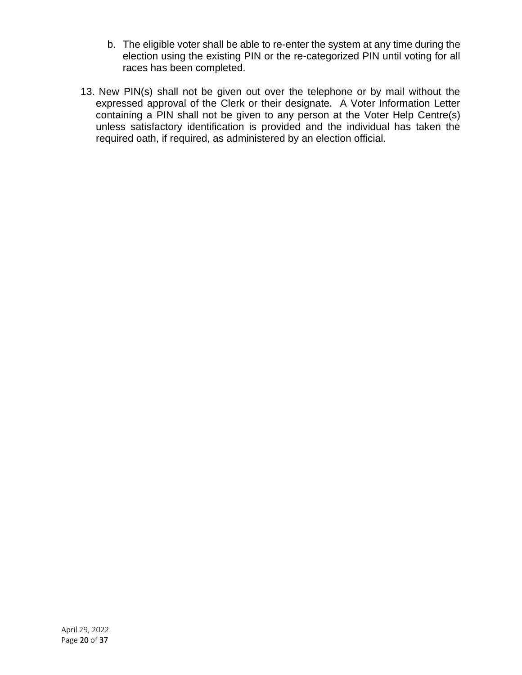- b. The eligible voter shall be able to re-enter the system at any time during the election using the existing PIN or the re-categorized PIN until voting for all races has been completed.
- 13. New PIN(s) shall not be given out over the telephone or by mail without the expressed approval of the Clerk or their designate. A Voter Information Letter containing a PIN shall not be given to any person at the Voter Help Centre(s) unless satisfactory identification is provided and the individual has taken the required oath, if required, as administered by an election official.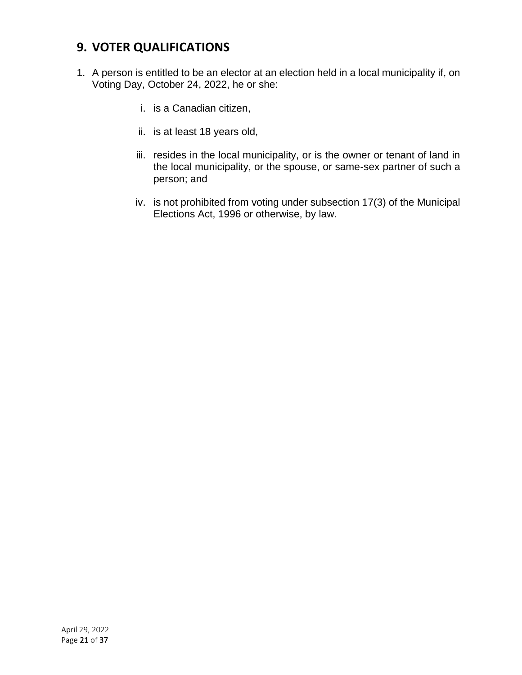# <span id="page-20-0"></span>**9. VOTER QUALIFICATIONS**

- 1. A person is entitled to be an elector at an election held in a local municipality if, on Voting Day, October 24, 2022, he or she:
	- i. is a Canadian citizen,
	- ii. is at least 18 years old,
	- iii. resides in the local municipality, or is the owner or tenant of land in the local municipality, or the spouse, or same-sex partner of such a person; and
	- iv. is not prohibited from voting under subsection 17(3) of the Municipal Elections Act, 1996 or otherwise, by law.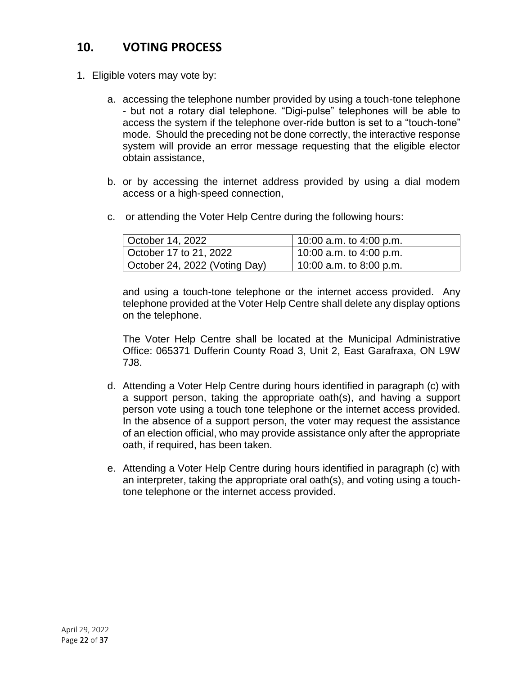# <span id="page-21-0"></span>**10. VOTING PROCESS**

- 1. Eligible voters may vote by:
	- a. accessing the telephone number provided by using a touch-tone telephone - but not a rotary dial telephone. "Digi-pulse" telephones will be able to access the system if the telephone over-ride button is set to a "touch-tone" mode. Should the preceding not be done correctly, the interactive response system will provide an error message requesting that the eligible elector obtain assistance,
	- b. or by accessing the internet address provided by using a dial modem access or a high-speed connection,
	- c. or attending the Voter Help Centre during the following hours:

| October 14, 2022              | $10:00$ a.m. to 4:00 p.m. |
|-------------------------------|---------------------------|
| October 17 to 21, 2022        | 10:00 a.m. to 4:00 p.m.   |
| October 24, 2022 (Voting Day) | 10:00 a.m. to 8:00 p.m.   |

and using a touch-tone telephone or the internet access provided. Any telephone provided at the Voter Help Centre shall delete any display options on the telephone.

The Voter Help Centre shall be located at the Municipal Administrative Office: 065371 Dufferin County Road 3, Unit 2, East Garafraxa, ON L9W 7J8.

- d. Attending a Voter Help Centre during hours identified in paragraph (c) with a support person, taking the appropriate oath(s), and having a support person vote using a touch tone telephone or the internet access provided. In the absence of a support person, the voter may request the assistance of an election official, who may provide assistance only after the appropriate oath, if required, has been taken.
- e. Attending a Voter Help Centre during hours identified in paragraph (c) with an interpreter, taking the appropriate oral oath(s), and voting using a touchtone telephone or the internet access provided.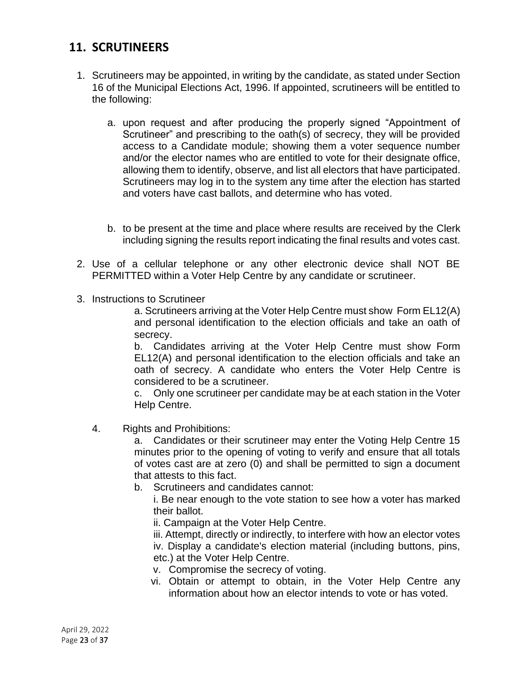## <span id="page-22-0"></span>**11. SCRUTINEERS**

- 1. Scrutineers may be appointed, in writing by the candidate, as stated under Section 16 of the Municipal Elections Act, 1996. If appointed, scrutineers will be entitled to the following:
	- a. upon request and after producing the properly signed "Appointment of Scrutineer" and prescribing to the oath(s) of secrecy, they will be provided access to a Candidate module; showing them a voter sequence number and/or the elector names who are entitled to vote for their designate office, allowing them to identify, observe, and list all electors that have participated. Scrutineers may log in to the system any time after the election has started and voters have cast ballots, and determine who has voted.
	- b. to be present at the time and place where results are received by the Clerk including signing the results report indicating the final results and votes cast.
- 2. Use of a cellular telephone or any other electronic device shall NOT BE PERMITTED within a Voter Help Centre by any candidate or scrutineer.
- 3. Instructions to Scrutineer

a. Scrutineers arriving at the Voter Help Centre must show Form EL12(A) and personal identification to the election officials and take an oath of secrecy.

b. Candidates arriving at the Voter Help Centre must show Form EL12(A) and personal identification to the election officials and take an oath of secrecy. A candidate who enters the Voter Help Centre is considered to be a scrutineer.

c. Only one scrutineer per candidate may be at each station in the Voter Help Centre.

4. Rights and Prohibitions:

a. Candidates or their scrutineer may enter the Voting Help Centre 15 minutes prior to the opening of voting to verify and ensure that all totals of votes cast are at zero (0) and shall be permitted to sign a document that attests to this fact.

b. Scrutineers and candidates cannot:

i. Be near enough to the vote station to see how a voter has marked their ballot.

ii. Campaign at the Voter Help Centre.

iii. Attempt, directly or indirectly, to interfere with how an elector votes iv. Display a candidate's election material (including buttons, pins, etc.) at the Voter Help Centre.

- v. Compromise the secrecy of voting.
- vi. Obtain or attempt to obtain, in the Voter Help Centre any information about how an elector intends to vote or has voted.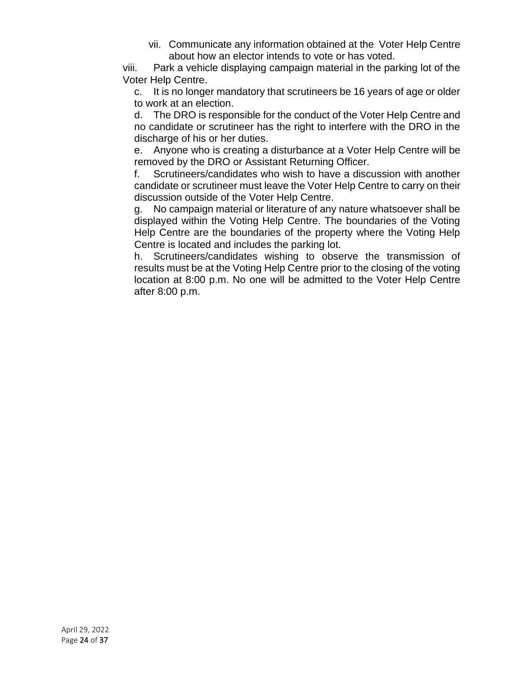vii. Communicate any information obtained at the Voter Help Centre about how an elector intends to vote or has voted.

viii. Park a vehicle displaying campaign material in the parking lot of the Voter Help Centre.

c. It is no longer mandatory that scrutineers be 16 years of age or older to work at an election.

d. The DRO is responsible for the conduct of the Voter Help Centre and no candidate or scrutineer has the right to interfere with the DRO in the discharge of his or her duties.

e. Anyone who is creating a disturbance at a Voter Help Centre will be removed by the DRO or Assistant Returning Officer.

f. Scrutineers/candidates who wish to have a discussion with another candidate or scrutineer must leave the Voter Help Centre to carry on their discussion outside of the Voter Help Centre.

g. No campaign material or literature of any nature whatsoever shall be displayed within the Voting Help Centre. The boundaries of the Voting Help Centre are the boundaries of the property where the Voting Help Centre is located and includes the parking lot.

h. Scrutineers/candidates wishing to observe the transmission of results must be at the Voting Help Centre prior to the closing of the voting location at 8:00 p.m. No one will be admitted to the Voter Help Centre after 8:00 p.m.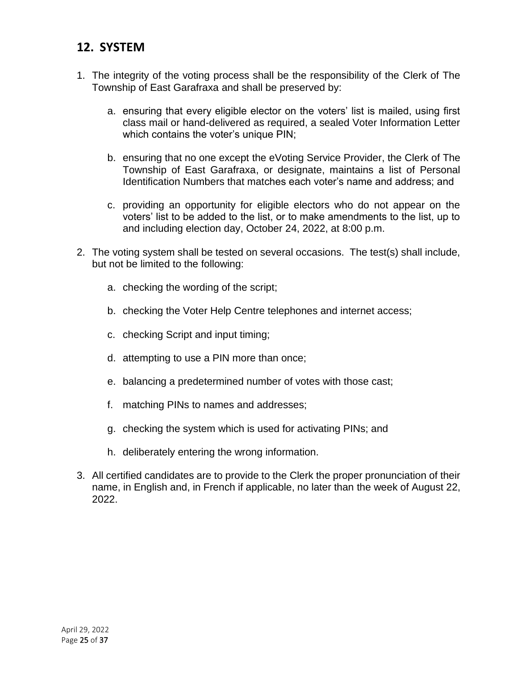#### <span id="page-24-0"></span>**12. SYSTEM**

- 1. The integrity of the voting process shall be the responsibility of the Clerk of The Township of East Garafraxa and shall be preserved by:
	- a. ensuring that every eligible elector on the voters' list is mailed, using first class mail or hand-delivered as required, a sealed Voter Information Letter which contains the voter's unique PIN;
	- b. ensuring that no one except the eVoting Service Provider, the Clerk of The Township of East Garafraxa, or designate, maintains a list of Personal Identification Numbers that matches each voter's name and address; and
	- c. providing an opportunity for eligible electors who do not appear on the voters' list to be added to the list, or to make amendments to the list, up to and including election day, October 24, 2022, at 8:00 p.m.
- 2. The voting system shall be tested on several occasions. The test(s) shall include, but not be limited to the following:
	- a. checking the wording of the script;
	- b. checking the Voter Help Centre telephones and internet access;
	- c. checking Script and input timing;
	- d. attempting to use a PIN more than once;
	- e. balancing a predetermined number of votes with those cast;
	- f. matching PINs to names and addresses;
	- g. checking the system which is used for activating PINs; and
	- h. deliberately entering the wrong information.
- 3. All certified candidates are to provide to the Clerk the proper pronunciation of their name, in English and, in French if applicable, no later than the week of August 22, 2022.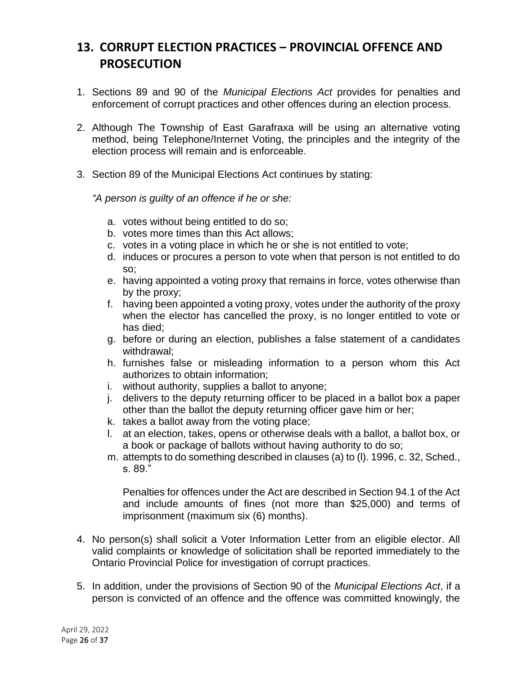# <span id="page-25-0"></span>**13. CORRUPT ELECTION PRACTICES – PROVINCIAL OFFENCE AND PROSECUTION**

- 1. Sections 89 and 90 of the *Municipal Elections Act* provides for penalties and enforcement of corrupt practices and other offences during an election process.
- 2. Although The Township of East Garafraxa will be using an alternative voting method, being Telephone/Internet Voting, the principles and the integrity of the election process will remain and is enforceable.
- 3. Section 89 of the Municipal Elections Act continues by stating:

*"A person is guilty of an offence if he or she:*

- a. votes without being entitled to do so;
- b. votes more times than this Act allows;
- c. votes in a voting place in which he or she is not entitled to vote;
- d. induces or procures a person to vote when that person is not entitled to do so;
- e. having appointed a voting proxy that remains in force, votes otherwise than by the proxy;
- f. having been appointed a voting proxy, votes under the authority of the proxy when the elector has cancelled the proxy, is no longer entitled to vote or has died;
- g. before or during an election, publishes a false statement of a candidates withdrawal;
- h. furnishes false or misleading information to a person whom this Act authorizes to obtain information;
- i. without authority, supplies a ballot to anyone;
- j. delivers to the deputy returning officer to be placed in a ballot box a paper other than the ballot the deputy returning officer gave him or her;
- k. takes a ballot away from the voting place;
- l. at an election, takes, opens or otherwise deals with a ballot, a ballot box, or a book or package of ballots without having authority to do so;
- m. attempts to do something described in clauses (a) to (l). 1996, c. 32, Sched., s. 89."

Penalties for offences under the Act are described in Section 94.1 of the Act and include amounts of fines (not more than \$25,000) and terms of imprisonment (maximum six (6) months).

- 4. No person(s) shall solicit a Voter Information Letter from an eligible elector. All valid complaints or knowledge of solicitation shall be reported immediately to the Ontario Provincial Police for investigation of corrupt practices.
- 5. In addition, under the provisions of Section 90 of the *Municipal Elections Act*, if a person is convicted of an offence and the offence was committed knowingly, the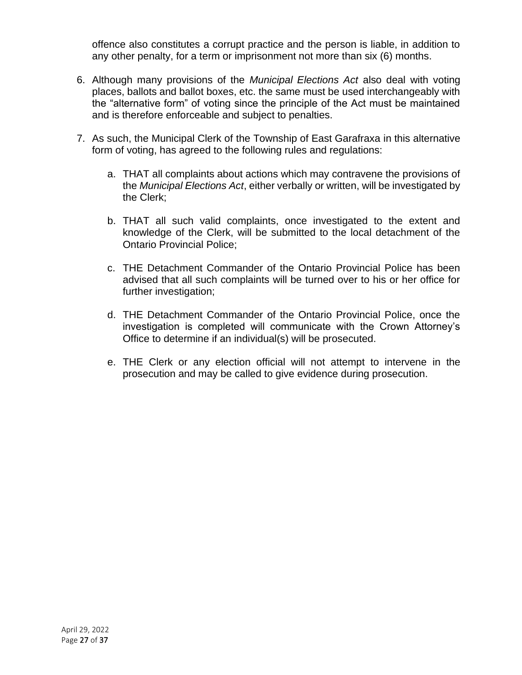offence also constitutes a corrupt practice and the person is liable, in addition to any other penalty, for a term or imprisonment not more than six (6) months.

- 6. Although many provisions of the *Municipal Elections Act* also deal with voting places, ballots and ballot boxes, etc. the same must be used interchangeably with the "alternative form" of voting since the principle of the Act must be maintained and is therefore enforceable and subject to penalties.
- 7. As such, the Municipal Clerk of the Township of East Garafraxa in this alternative form of voting, has agreed to the following rules and regulations:
	- a. THAT all complaints about actions which may contravene the provisions of the *Municipal Elections Act*, either verbally or written, will be investigated by the Clerk;
	- b. THAT all such valid complaints, once investigated to the extent and knowledge of the Clerk, will be submitted to the local detachment of the Ontario Provincial Police;
	- c. THE Detachment Commander of the Ontario Provincial Police has been advised that all such complaints will be turned over to his or her office for further investigation;
	- d. THE Detachment Commander of the Ontario Provincial Police, once the investigation is completed will communicate with the Crown Attorney's Office to determine if an individual(s) will be prosecuted.
	- e. THE Clerk or any election official will not attempt to intervene in the prosecution and may be called to give evidence during prosecution.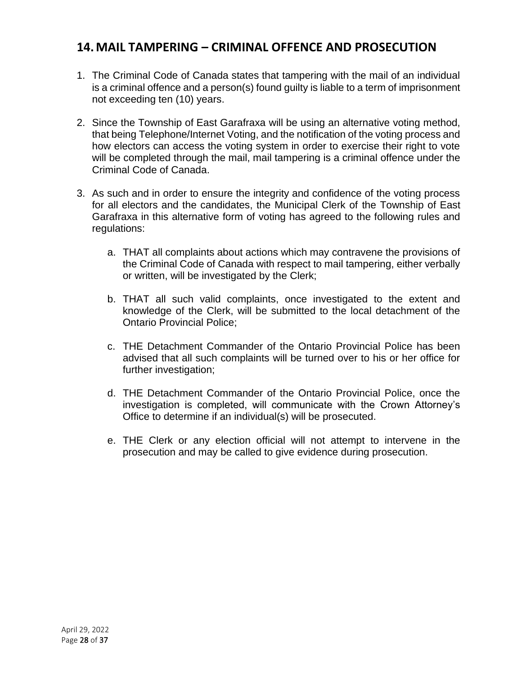### <span id="page-27-0"></span>**14.MAIL TAMPERING – CRIMINAL OFFENCE AND PROSECUTION**

- 1. The Criminal Code of Canada states that tampering with the mail of an individual is a criminal offence and a person(s) found guilty is liable to a term of imprisonment not exceeding ten (10) years.
- 2. Since the Township of East Garafraxa will be using an alternative voting method, that being Telephone/Internet Voting, and the notification of the voting process and how electors can access the voting system in order to exercise their right to vote will be completed through the mail, mail tampering is a criminal offence under the Criminal Code of Canada.
- 3. As such and in order to ensure the integrity and confidence of the voting process for all electors and the candidates, the Municipal Clerk of the Township of East Garafraxa in this alternative form of voting has agreed to the following rules and regulations:
	- a. THAT all complaints about actions which may contravene the provisions of the Criminal Code of Canada with respect to mail tampering, either verbally or written, will be investigated by the Clerk;
	- b. THAT all such valid complaints, once investigated to the extent and knowledge of the Clerk, will be submitted to the local detachment of the Ontario Provincial Police;
	- c. THE Detachment Commander of the Ontario Provincial Police has been advised that all such complaints will be turned over to his or her office for further investigation;
	- d. THE Detachment Commander of the Ontario Provincial Police, once the investigation is completed, will communicate with the Crown Attorney's Office to determine if an individual(s) will be prosecuted.
	- e. THE Clerk or any election official will not attempt to intervene in the prosecution and may be called to give evidence during prosecution.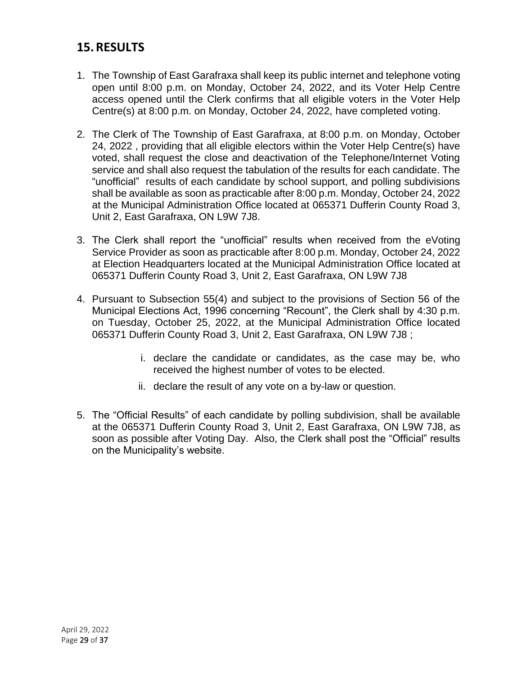### <span id="page-28-0"></span>**15.RESULTS**

- 1. The Township of East Garafraxa shall keep its public internet and telephone voting open until 8:00 p.m. on Monday, October 24, 2022, and its Voter Help Centre access opened until the Clerk confirms that all eligible voters in the Voter Help Centre(s) at 8:00 p.m. on Monday, October 24, 2022, have completed voting.
- 2. The Clerk of The Township of East Garafraxa, at 8:00 p.m. on Monday, October 24, 2022 , providing that all eligible electors within the Voter Help Centre(s) have voted, shall request the close and deactivation of the Telephone/Internet Voting service and shall also request the tabulation of the results for each candidate. The "unofficial" results of each candidate by school support, and polling subdivisions shall be available as soon as practicable after 8:00 p.m. Monday, October 24, 2022 at the Municipal Administration Office located at 065371 Dufferin County Road 3, Unit 2, East Garafraxa, ON L9W 7J8.
- 3. The Clerk shall report the "unofficial" results when received from the eVoting Service Provider as soon as practicable after 8:00 p.m. Monday, October 24, 2022 at Election Headquarters located at the Municipal Administration Office located at 065371 Dufferin County Road 3, Unit 2, East Garafraxa, ON L9W 7J8
- 4. Pursuant to Subsection 55(4) and subject to the provisions of Section 56 of the Municipal Elections Act, 1996 concerning "Recount", the Clerk shall by 4:30 p.m. on Tuesday, October 25, 2022, at the Municipal Administration Office located 065371 Dufferin County Road 3, Unit 2, East Garafraxa, ON L9W 7J8 ;
	- i. declare the candidate or candidates, as the case may be, who received the highest number of votes to be elected.
	- ii. declare the result of any vote on a by-law or question.
- 5. The "Official Results" of each candidate by polling subdivision, shall be available at the 065371 Dufferin County Road 3, Unit 2, East Garafraxa, ON L9W 7J8, as soon as possible after Voting Day. Also, the Clerk shall post the "Official" results on the Municipality's website.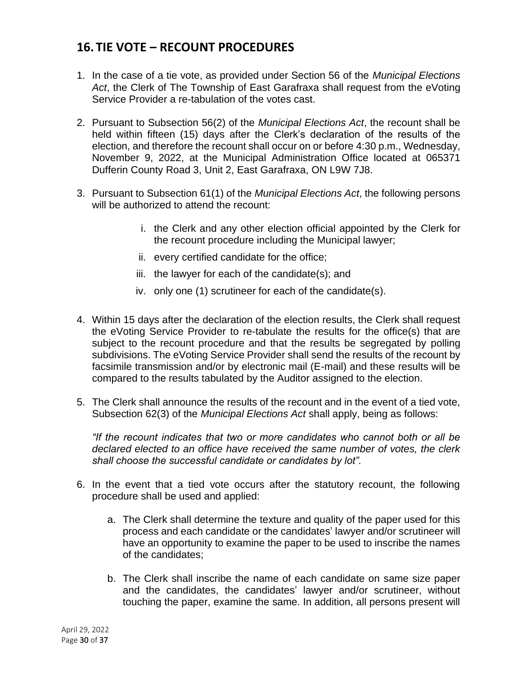## <span id="page-29-0"></span>**16. TIE VOTE – RECOUNT PROCEDURES**

- 1. In the case of a tie vote, as provided under Section 56 of the *Municipal Elections Act*, the Clerk of The Township of East Garafraxa shall request from the eVoting Service Provider a re-tabulation of the votes cast.
- 2. Pursuant to Subsection 56(2) of the *Municipal Elections Act*, the recount shall be held within fifteen (15) days after the Clerk's declaration of the results of the election, and therefore the recount shall occur on or before 4:30 p.m., Wednesday, November 9, 2022, at the Municipal Administration Office located at 065371 Dufferin County Road 3, Unit 2, East Garafraxa, ON L9W 7J8.
- 3. Pursuant to Subsection 61(1) of the *Municipal Elections Act*, the following persons will be authorized to attend the recount:
	- i. the Clerk and any other election official appointed by the Clerk for the recount procedure including the Municipal lawyer;
	- ii. every certified candidate for the office;
	- iii. the lawyer for each of the candidate(s); and
	- iv. only one (1) scrutineer for each of the candidate(s).
- 4. Within 15 days after the declaration of the election results, the Clerk shall request the eVoting Service Provider to re-tabulate the results for the office(s) that are subject to the recount procedure and that the results be segregated by polling subdivisions. The eVoting Service Provider shall send the results of the recount by facsimile transmission and/or by electronic mail (E-mail) and these results will be compared to the results tabulated by the Auditor assigned to the election.
- 5. The Clerk shall announce the results of the recount and in the event of a tied vote, Subsection 62(3) of the *Municipal Elections Act* shall apply, being as follows:

*"If the recount indicates that two or more candidates who cannot both or all be declared elected to an office have received the same number of votes, the clerk shall choose the successful candidate or candidates by lot".*

- 6. In the event that a tied vote occurs after the statutory recount, the following procedure shall be used and applied:
	- a. The Clerk shall determine the texture and quality of the paper used for this process and each candidate or the candidates' lawyer and/or scrutineer will have an opportunity to examine the paper to be used to inscribe the names of the candidates;
	- b. The Clerk shall inscribe the name of each candidate on same size paper and the candidates, the candidates' lawyer and/or scrutineer, without touching the paper, examine the same. In addition, all persons present will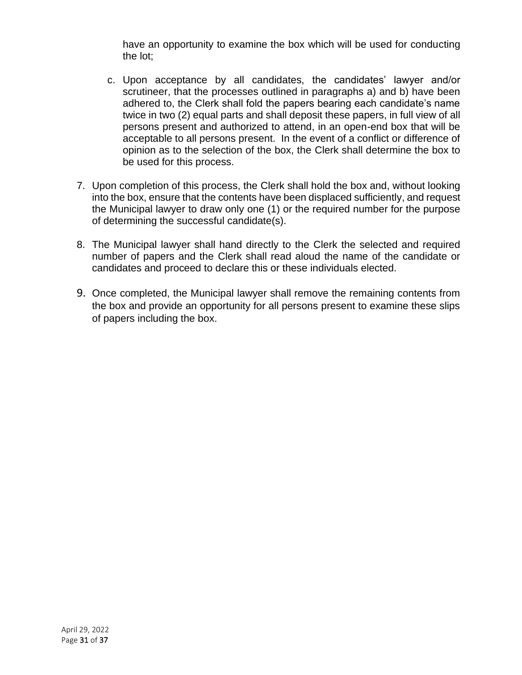have an opportunity to examine the box which will be used for conducting the lot;

- c. Upon acceptance by all candidates, the candidates' lawyer and/or scrutineer, that the processes outlined in paragraphs a) and b) have been adhered to, the Clerk shall fold the papers bearing each candidate's name twice in two (2) equal parts and shall deposit these papers, in full view of all persons present and authorized to attend, in an open-end box that will be acceptable to all persons present. In the event of a conflict or difference of opinion as to the selection of the box, the Clerk shall determine the box to be used for this process.
- 7. Upon completion of this process, the Clerk shall hold the box and, without looking into the box, ensure that the contents have been displaced sufficiently, and request the Municipal lawyer to draw only one (1) or the required number for the purpose of determining the successful candidate(s).
- 8. The Municipal lawyer shall hand directly to the Clerk the selected and required number of papers and the Clerk shall read aloud the name of the candidate or candidates and proceed to declare this or these individuals elected.
- 9. Once completed, the Municipal lawyer shall remove the remaining contents from the box and provide an opportunity for all persons present to examine these slips of papers including the box.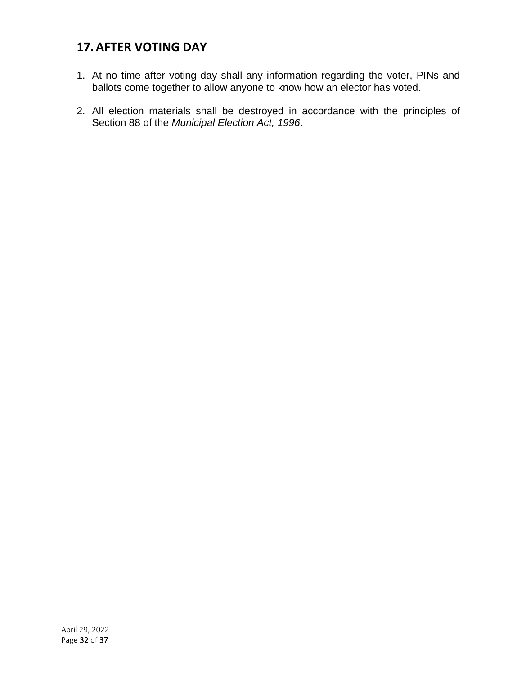## <span id="page-31-0"></span>**17.AFTER VOTING DAY**

- 1. At no time after voting day shall any information regarding the voter, PINs and ballots come together to allow anyone to know how an elector has voted.
- 2. All election materials shall be destroyed in accordance with the principles of Section 88 of the *Municipal Election Act, 1996*.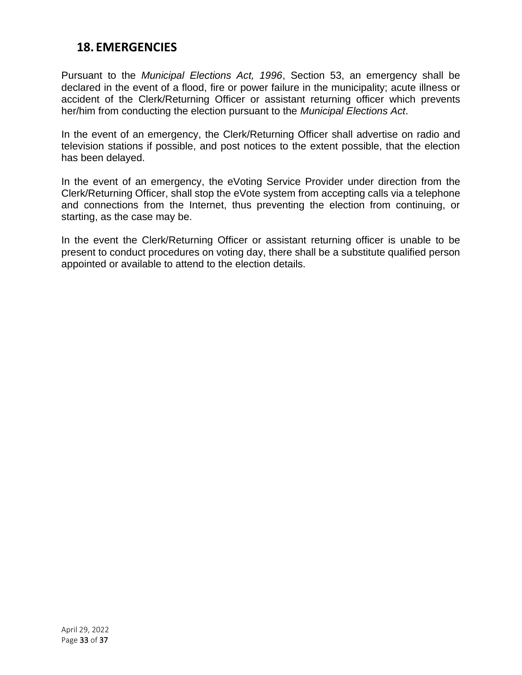#### <span id="page-32-0"></span>**18. EMERGENCIES**

Pursuant to the *Municipal Elections Act, 1996*, Section 53, an emergency shall be declared in the event of a flood, fire or power failure in the municipality; acute illness or accident of the Clerk/Returning Officer or assistant returning officer which prevents her/him from conducting the election pursuant to the *Municipal Elections Act*.

In the event of an emergency, the Clerk/Returning Officer shall advertise on radio and television stations if possible, and post notices to the extent possible, that the election has been delayed.

In the event of an emergency, the eVoting Service Provider under direction from the Clerk/Returning Officer, shall stop the eVote system from accepting calls via a telephone and connections from the Internet, thus preventing the election from continuing, or starting, as the case may be.

In the event the Clerk/Returning Officer or assistant returning officer is unable to be present to conduct procedures on voting day, there shall be a substitute qualified person appointed or available to attend to the election details.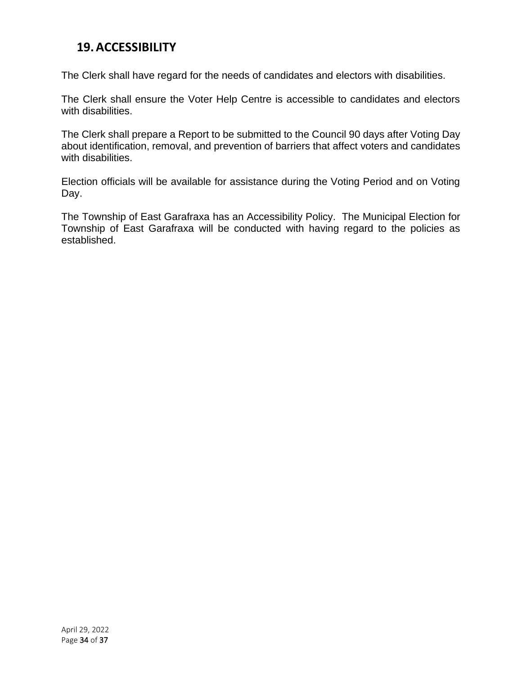### <span id="page-33-0"></span>**19.ACCESSIBILITY**

The Clerk shall have regard for the needs of candidates and electors with disabilities.

The Clerk shall ensure the Voter Help Centre is accessible to candidates and electors with disabilities.

The Clerk shall prepare a Report to be submitted to the Council 90 days after Voting Day about identification, removal, and prevention of barriers that affect voters and candidates with disabilities.

Election officials will be available for assistance during the Voting Period and on Voting Day.

The Township of East Garafraxa has an Accessibility Policy. The Municipal Election for Township of East Garafraxa will be conducted with having regard to the policies as established.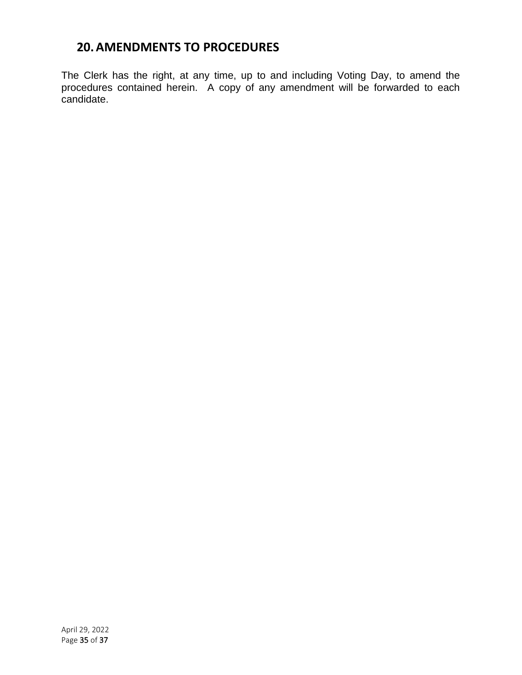## <span id="page-34-0"></span>**20.AMENDMENTS TO PROCEDURES**

The Clerk has the right, at any time, up to and including Voting Day, to amend the procedures contained herein. A copy of any amendment will be forwarded to each candidate.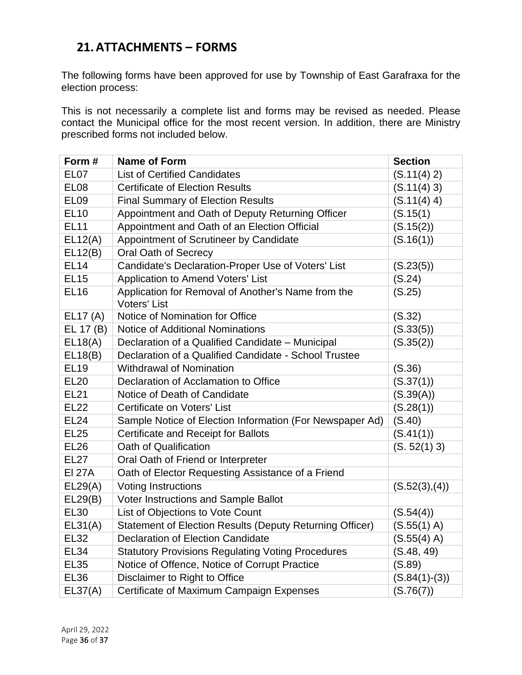## <span id="page-35-0"></span>**21.ATTACHMENTS – FORMS**

The following forms have been approved for use by Township of East Garafraxa for the election process:

This is not necessarily a complete list and forms may be revised as needed. Please contact the Municipal office for the most recent version. In addition, there are Ministry prescribed forms not included below.

| Form#            | <b>Name of Form</b>                                                       | <b>Section</b>  |
|------------------|---------------------------------------------------------------------------|-----------------|
| EL <sub>07</sub> | <b>List of Certified Candidates</b>                                       | (S.11(4) 2)     |
| EL <sub>08</sub> | <b>Certificate of Election Results</b>                                    | (S.11(4) 3)     |
| EL <sub>09</sub> | <b>Final Summary of Election Results</b>                                  | (S.11(4) 4)     |
| <b>EL10</b>      | Appointment and Oath of Deputy Returning Officer                          | (S.15(1)        |
| <b>EL11</b>      | Appointment and Oath of an Election Official                              | (S.15(2))       |
| EL12(A)          | Appointment of Scrutineer by Candidate                                    | (S.16(1))       |
| EL12(B)          | <b>Oral Oath of Secrecy</b>                                               |                 |
| <b>EL14</b>      | Candidate's Declaration-Proper Use of Voters' List                        | (S.23(5))       |
| <b>EL15</b>      | Application to Amend Voters' List                                         | (S.24)          |
| <b>EL16</b>      | Application for Removal of Another's Name from the<br><b>Voters' List</b> | (S.25)          |
| EL17 (A)         | Notice of Nomination for Office                                           | (S.32)          |
| EL 17 (B)        | <b>Notice of Additional Nominations</b>                                   | (S.33(5))       |
| EL18(A)          | Declaration of a Qualified Candidate - Municipal                          | (S.35(2))       |
| EL18(B)          | Declaration of a Qualified Candidate - School Trustee                     |                 |
| <b>EL19</b>      | <b>Withdrawal of Nomination</b>                                           | (S.36)          |
| <b>EL20</b>      | Declaration of Acclamation to Office                                      | (S.37(1))       |
| <b>EL21</b>      | Notice of Death of Candidate                                              | (S.39(A))       |
| <b>EL22</b>      | Certificate on Voters' List                                               | (S.28(1))       |
| <b>EL24</b>      | Sample Notice of Election Information (For Newspaper Ad)                  | (S.40)          |
| <b>EL25</b>      | Certificate and Receipt for Ballots                                       | (S.41(1))       |
| <b>EL26</b>      | Oath of Qualification                                                     | (S. 52(1) 3)    |
| <b>EL27</b>      | Oral Oath of Friend or Interpreter                                        |                 |
| <b>EI 27A</b>    | Oath of Elector Requesting Assistance of a Friend                         |                 |
| EL29(A)          | <b>Voting Instructions</b>                                                | (S.52(3), (4))  |
| EL29(B)          | Voter Instructions and Sample Ballot                                      |                 |
| <b>EL30</b>      | List of Objections to Vote Count                                          | (S.54(4))       |
| EL31(A)          | Statement of Election Results (Deputy Returning Officer)                  | (S.55(1) A)     |
| <b>EL32</b>      | <b>Declaration of Election Candidate</b>                                  | (S.55(4) A)     |
| <b>EL34</b>      | <b>Statutory Provisions Regulating Voting Procedures</b>                  | (S.48, 49)      |
| <b>EL35</b>      | Notice of Offence, Notice of Corrupt Practice                             | (S.89)          |
| <b>EL36</b>      | Disclaimer to Right to Office                                             | $(S.84(1)-(3))$ |
| EL37(A)          | Certificate of Maximum Campaign Expenses                                  | (S.76(7))       |